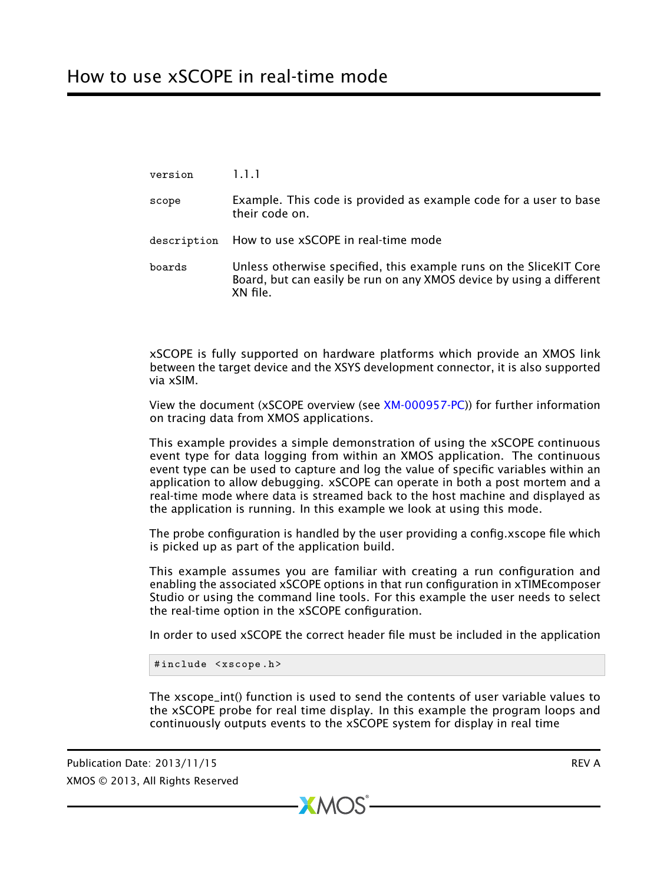version 1.1.1 scope Example. This code is provided as example code for a user to base their code on. description How to use xSCOPE in real-time mode boards Unless otherwise specified, this example runs on the SliceKIT Core Board, but can easily be run on any XMOS device by using a different XN file.

xSCOPE is fully supported on hardware platforms which provide an XMOS link between the target device and the XSYS development connector, it is also supported via xSIM.

View the document (xSCOPE overview (see [XM-000957-PC\)](http://www.xmos.com/doc/XM-000957-PC/latest#trace-data-with-xscope)) for further information on tracing data from XMOS applications.

This example provides a simple demonstration of using the xSCOPE continuous event type for data logging from within an XMOS application. The continuous event type can be used to capture and log the value of specific variables within an application to allow debugging. xSCOPE can operate in both a post mortem and a real-time mode where data is streamed back to the host machine and displayed as the application is running. In this example we look at using this mode.

The probe configuration is handled by the user providing a config.xscope file which is picked up as part of the application build.

This example assumes you are familiar with creating a run configuration and enabling the associated xSCOPE options in that run configuration in xTIMEcomposer Studio or using the command line tools. For this example the user needs to select the real-time option in the xSCOPE configuration.

In order to used xSCOPE the correct header file must be included in the application

```
#include <xscope.h>
```
The xscope\_int() function is used to send the contents of user variable values to the xSCOPE probe for real time display. In this example the program loops and continuously outputs events to the xSCOPE system for display in real time

 $XMOS$ 

Publication Date: 2013/11/15 **REV A** XMOS © 2013, All Rights Reserved